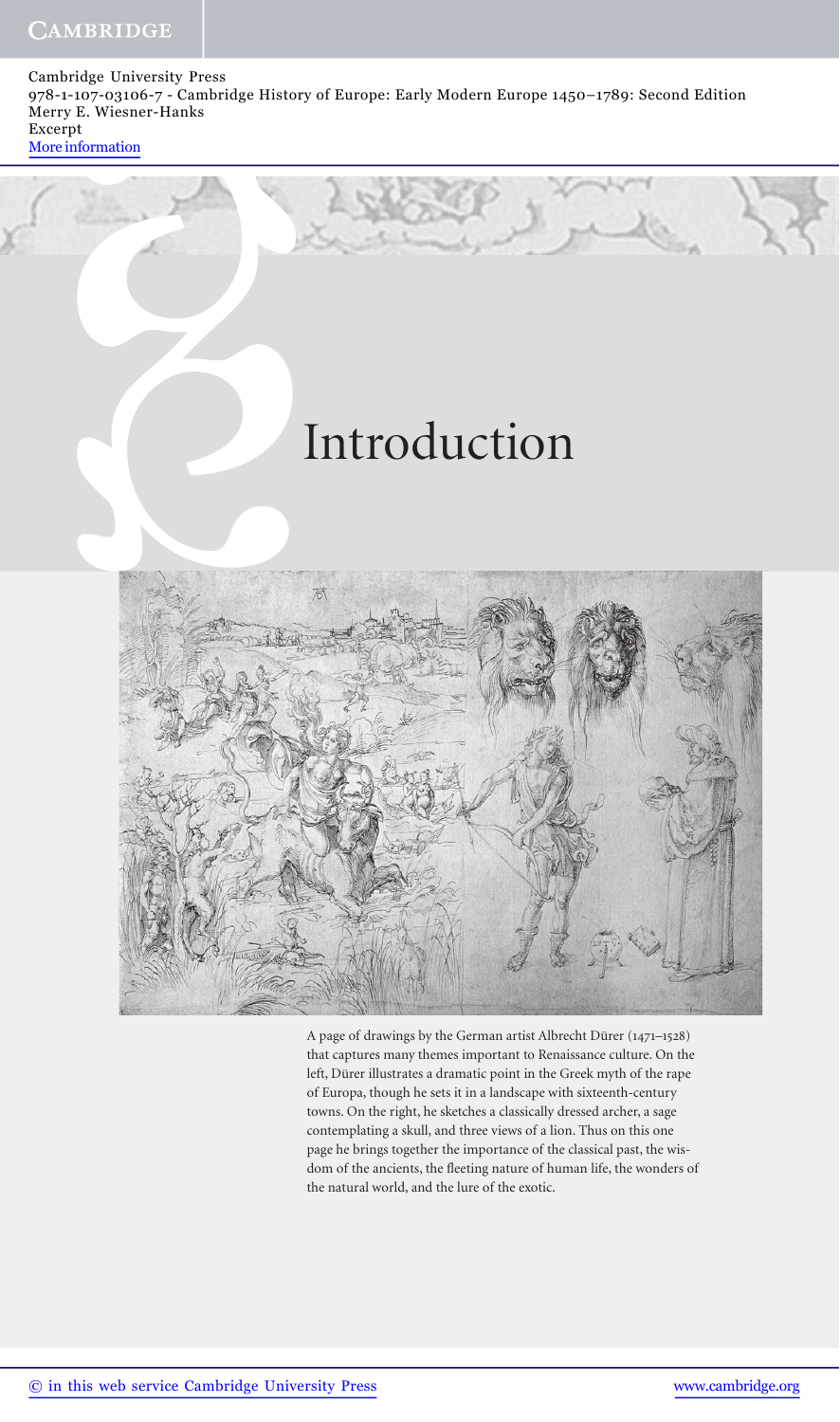# Introduction



 A page of drawings by the German artist Albrecht Dürer (1471–1528) that captures many themes important to Renaissance culture. On the left, Dürer illustrates a dramatic point in the Greek myth of the rape of Europa, though he sets it in a landscape with sixteenth-century towns. On the right, he sketches a classically dressed archer, a sage contemplating a skull, and three views of a lion. Thus on this one page he brings together the importance of the classical past, the wisdom of the ancients, the fleeting nature of human life, the wonders of the natural world, and the lure of the exotic.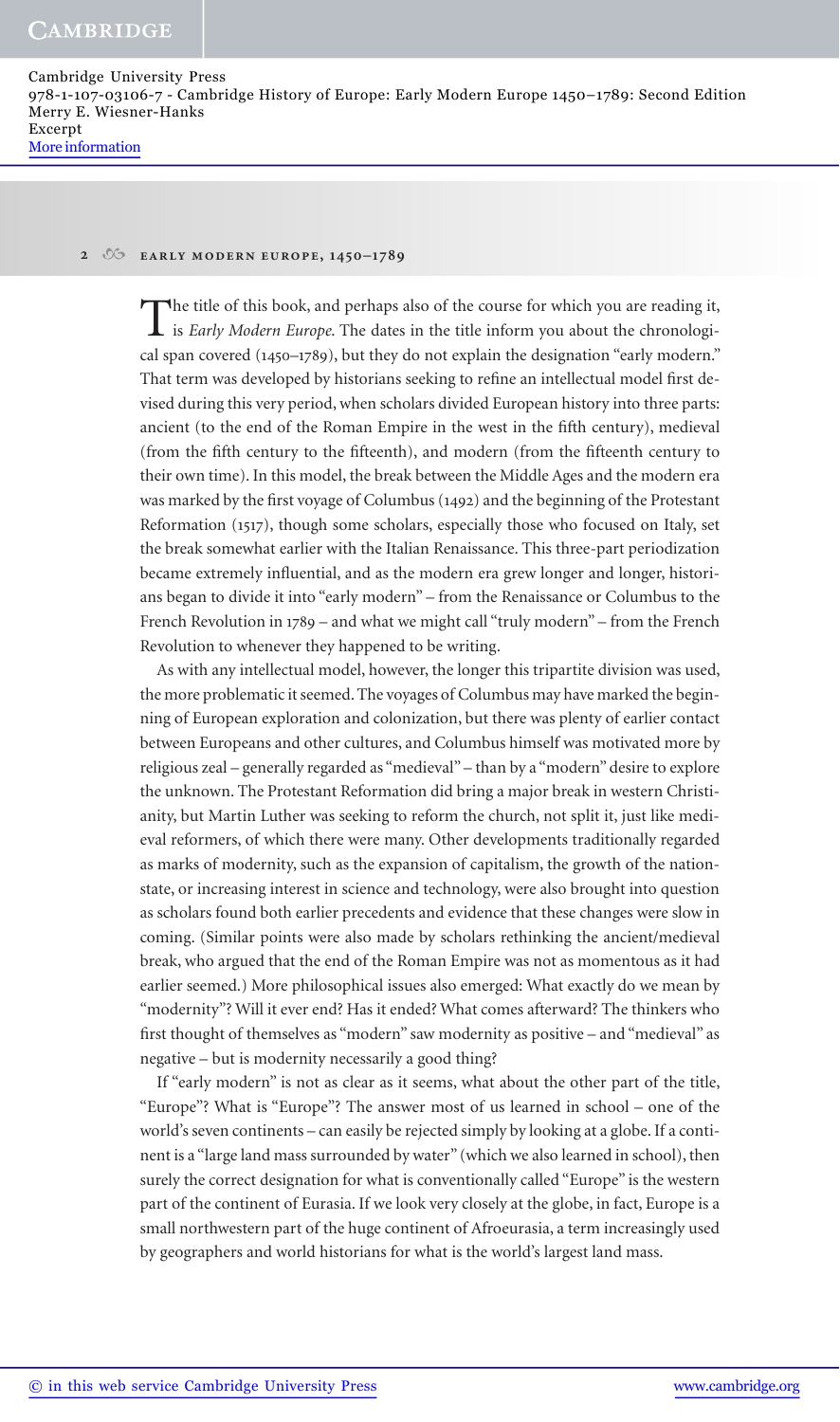## **2 early modern europe, 1450–1789**

The title of this book, and perhaps also of the course for which you are reading it, is *Early Modern Europe*. The dates in the title inform you about the chronological span covered (1450–1789), but they do not explain the designation "early modern." That term was developed by historians seeking to refine an intellectual model first devised during this very period, when scholars divided European history into three parts: ancient (to the end of the Roman Empire in the west in the fifth century), medieval (from the fifth century to the fifteenth), and modern (from the fifteenth century to their own time). In this model, the break between the Middle Ages and the modern era was marked by the first voyage of Columbus (1492) and the beginning of the Protestant Reformation (1517), though some scholars, especially those who focused on Italy, set the break somewhat earlier with the Italian Renaissance. This three-part periodization became extremely influential, and as the modern era grew longer and longer, historians began to divide it into "early modern" – from the Renaissance or Columbus to the French Revolution in 1789 – and what we might call "truly modern" – from the French Revolution to whenever they happened to be writing.

 As with any intellectual model, however, the longer this tripartite division was used, the more problematic it seemed. The voyages of Columbus may have marked the beginning of European exploration and colonization, but there was plenty of earlier contact between Europeans and other cultures, and Columbus himself was motivated more by religious zeal – generally regarded as "medieval" – than by a "modern" desire to explore the unknown. The Protestant Reformation did bring a major break in western Christianity, but Martin Luther was seeking to reform the church, not split it, just like medieval reformers, of which there were many. Other developments traditionally regarded as marks of modernity, such as the expansion of capitalism, the growth of the nationstate, or increasing interest in science and technology, were also brought into question as scholars found both earlier precedents and evidence that these changes were slow in coming. (Similar points were also made by scholars rethinking the ancient/medieval break, who argued that the end of the Roman Empire was not as momentous as it had earlier seemed.) More philosophical issues also emerged: What exactly do we mean by "modernity"? Will it ever end? Has it ended? What comes afterward? The thinkers who first thought of themselves as "modern" saw modernity as positive - and "medieval" as negative – but is modernity necessarily a good thing?

 If "early modern" is not as clear as it seems, what about the other part of the title, "Europe"? What is "Europe"? The answer most of us learned in school – one of the world's seven continents – can easily be rejected simply by looking at a globe. If a continent is a "large land mass surrounded by water" (which we also learned in school), then surely the correct designation for what is conventionally called "Europe" is the western part of the continent of Eurasia. If we look very closely at the globe, in fact, Europe is a small northwestern part of the huge continent of Afroeurasia, a term increasingly used by geographers and world historians for what is the world's largest land mass.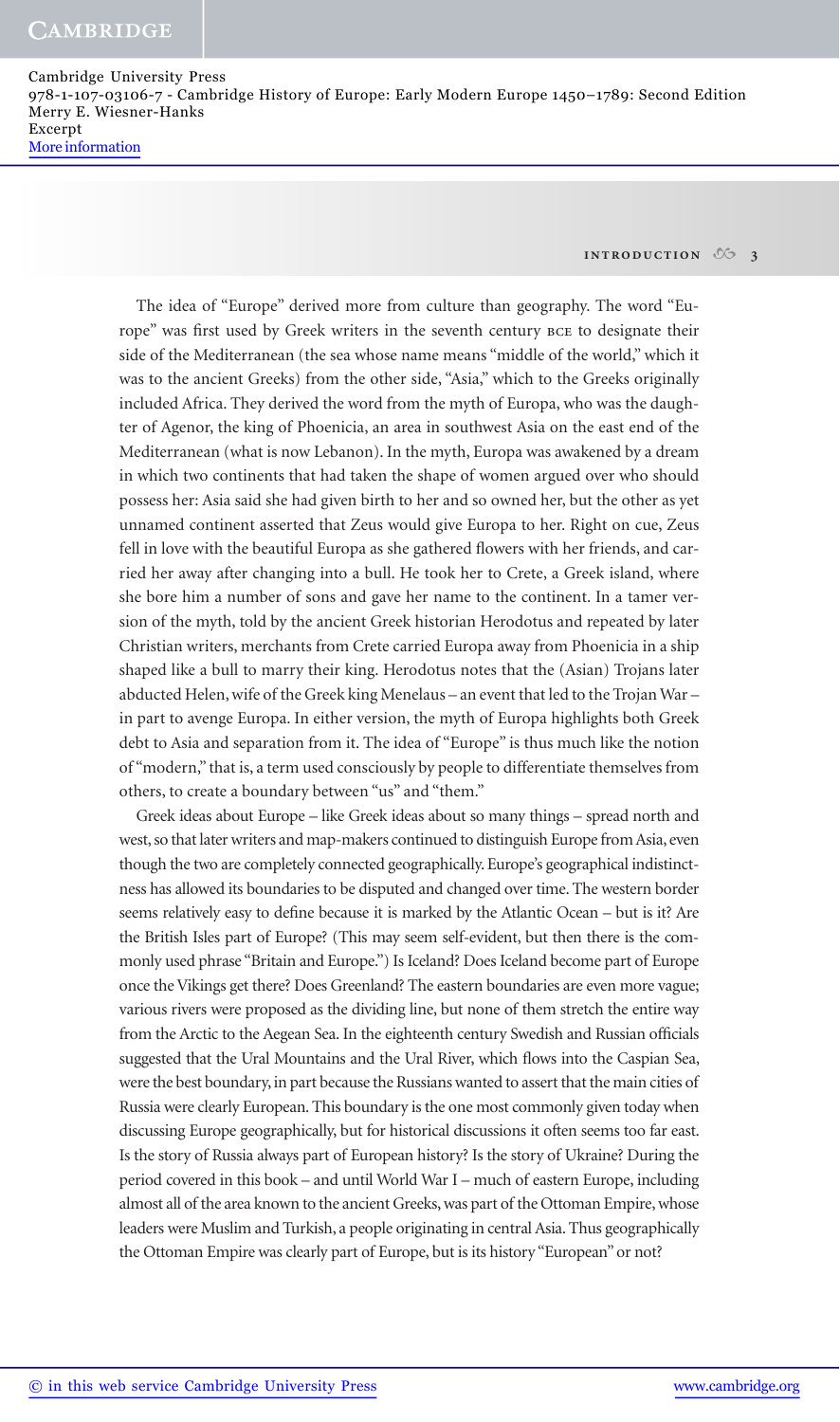#### **introduction**  $\oslash$  3

 The idea of "Europe" derived more from culture than geography. The word "Europe" was first used by Greek writers in the seventh century BCE to designate their side of the Mediterranean (the sea whose name means "middle of the world," which it was to the ancient Greeks) from the other side, "Asia," which to the Greeks originally included Africa. They derived the word from the myth of Europa, who was the daughter of Agenor, the king of Phoenicia, an area in southwest Asia on the east end of the Mediterranean (what is now Lebanon). In the myth, Europa was awakened by a dream in which two continents that had taken the shape of women argued over who should possess her: Asia said she had given birth to her and so owned her, but the other as yet unnamed continent asserted that Zeus would give Europa to her. Right on cue, Zeus fell in love with the beautiful Europa as she gathered flowers with her friends, and carried her away after changing into a bull. He took her to Crete, a Greek island, where she bore him a number of sons and gave her name to the continent. In a tamer version of the myth, told by the ancient Greek historian Herodotus and repeated by later Christian writers, merchants from Crete carried Europa away from Phoenicia in a ship shaped like a bull to marry their king. Herodotus notes that the (Asian) Trojans later abducted Helen, wife of the Greek king Menelaus – an event that led to the Trojan War – in part to avenge Europa. In either version, the myth of Europa highlights both Greek debt to Asia and separation from it. The idea of "Europe" is thus much like the notion of "modern," that is, a term used consciously by people to differentiate themselves from others, to create a boundary between "us" and "them."

 Greek ideas about Europe – like Greek ideas about so many things – spread north and west, so that later writers and map-makers continued to distinguish Europe from Asia, even though the two are completely connected geographically. Europe's geographical indistinctness has allowed its boundaries to be disputed and changed over time. The western border seems relatively easy to define because it is marked by the Atlantic Ocean – but is it? Are the British Isles part of Europe? (This may seem self-evident, but then there is the commonly used phrase "Britain and Europe.") Is Iceland? Does Iceland become part of Europe once the Vikings get there? Does Greenland? The eastern boundaries are even more vague; various rivers were proposed as the dividing line, but none of them stretch the entire way from the Arctic to the Aegean Sea. In the eighteenth century Swedish and Russian officials suggested that the Ural Mountains and the Ural River, which flows into the Caspian Sea, were the best boundary, in part because the Russians wanted to assert that the main cities of Russia were clearly European. This boundary is the one most commonly given today when discussing Europe geographically, but for historical discussions it often seems too far east. Is the story of Russia always part of European history? Is the story of Ukraine? During the period covered in this book – and until World War I – much of eastern Europe, including almost all of the area known to the ancient Greeks, was part of the Ottoman Empire, whose leaders were Muslim and Turkish, a people originating in central Asia. Thus geographically the Ottoman Empire was clearly part of Europe, but is its history "European" or not?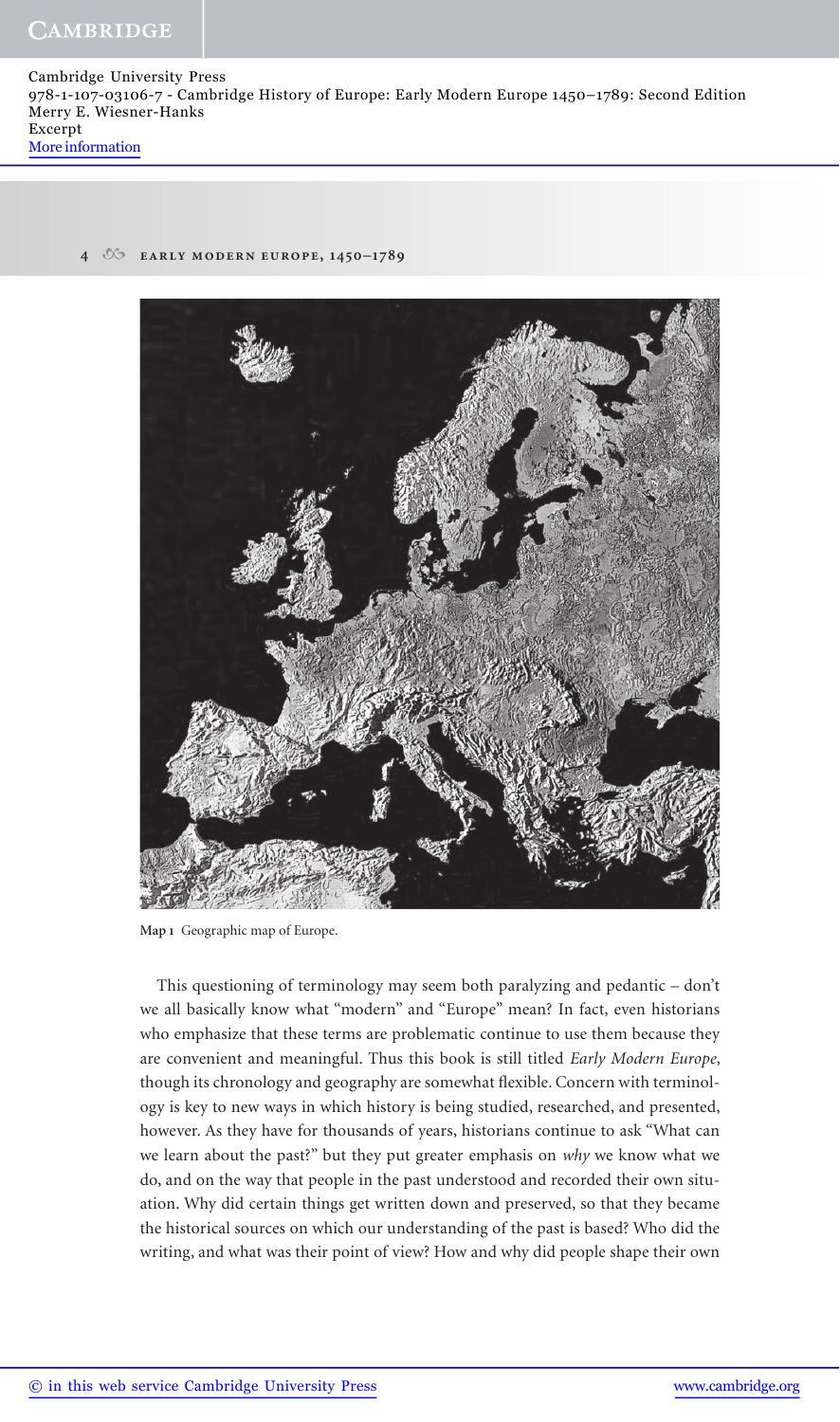**4 early modern europe, 1450–1789**



 **Map 1** Geographic map of Europe.

 This questioning of terminology may seem both paralyzing and pedantic – don't we all basically know what "modern" and "Europe" mean? In fact, even historians who emphasize that these terms are problematic continue to use them because they are convenient and meaningful. Thus this book is still titled *Early Modern Europe*, though its chronology and geography are somewhat flexible. Concern with terminology is key to new ways in which history is being studied, researched, and presented, however. As they have for thousands of years, historians continue to ask "What can we learn about the past?" but they put greater emphasis on *why* we know what we do, and on the way that people in the past understood and recorded their own situation. Why did certain things get written down and preserved, so that they became the historical sources on which our understanding of the past is based? Who did the writing, and what was their point of view? How and why did people shape their own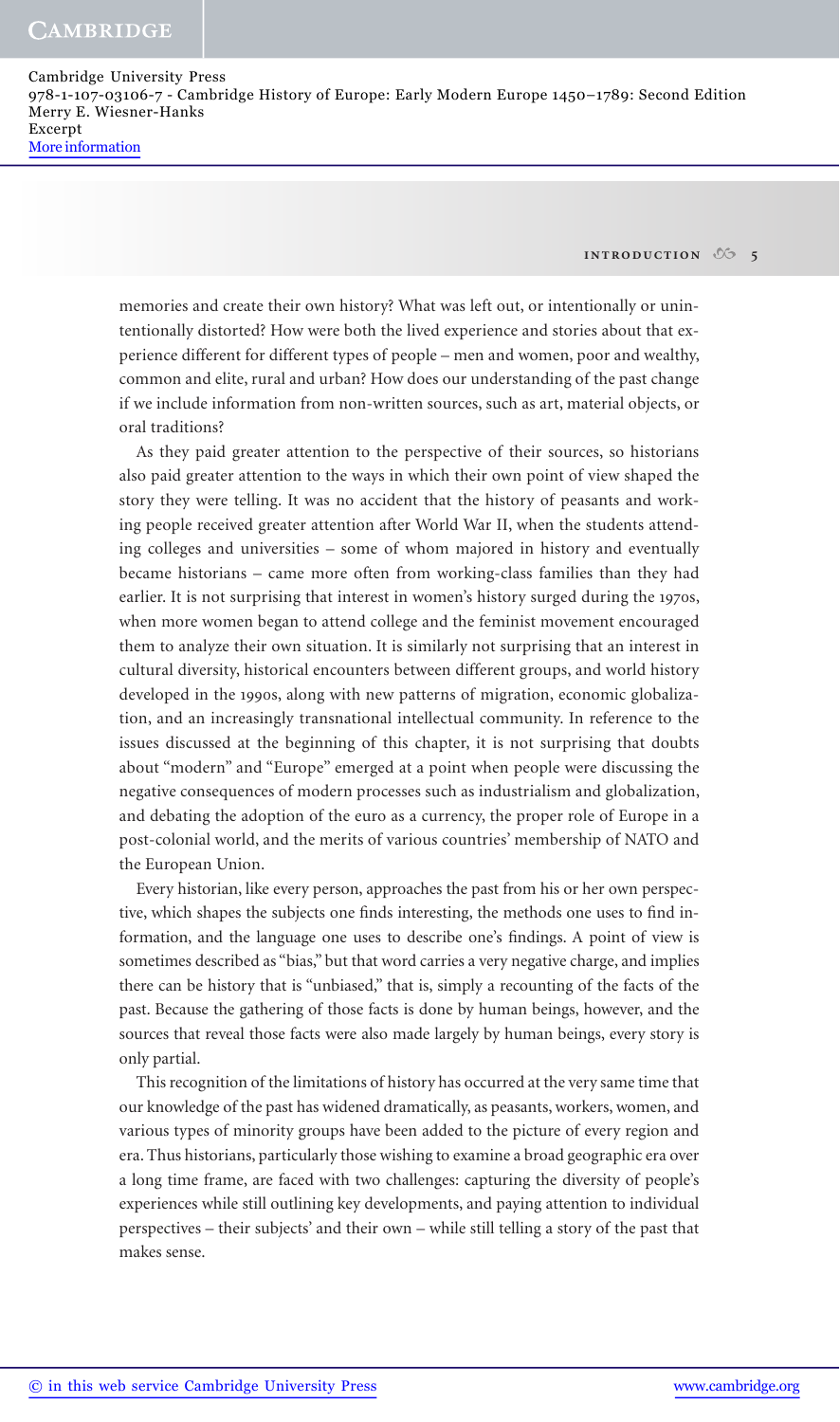**CAMBRIDGE** 

Cambridge University Press 978-1-107-03106-7 - Cambridge History of Europe: Early Modern Europe 1450–1789: Second Edition Merry E. Wiesner-Hanks Excerpt More information

**introduction**  $\oslash$  5

memories and create their own history? What was left out, or intentionally or unintentionally distorted? How were both the lived experience and stories about that experience different for different types of people – men and women, poor and wealthy, common and elite, rural and urban? How does our understanding of the past change if we include information from non-written sources, such as art, material objects, or oral traditions?

 As they paid greater attention to the perspective of their sources, so historians also paid greater attention to the ways in which their own point of view shaped the story they were telling. It was no accident that the history of peasants and working people received greater attention after World War II, when the students attending colleges and universities – some of whom majored in history and eventually became historians – came more often from working-class families than they had earlier. It is not surprising that interest in women's history surged during the 1970s, when more women began to attend college and the feminist movement encouraged them to analyze their own situation. It is similarly not surprising that an interest in cultural diversity, historical encounters between different groups, and world history developed in the 1990s, along with new patterns of migration, economic globalization, and an increasingly transnational intellectual community. In reference to the issues discussed at the beginning of this chapter, it is not surprising that doubts about "modern" and "Europe" emerged at a point when people were discussing the negative consequences of modern processes such as industrialism and globalization, and debating the adoption of the euro as a currency, the proper role of Europe in a post-colonial world, and the merits of various countries' membership of NATO and the European Union.

 Every historian, like every person, approaches the past from his or her own perspective, which shapes the subjects one finds interesting, the methods one uses to find information, and the language one uses to describe one's findings. A point of view is sometimes described as "bias," but that word carries a very negative charge, and implies there can be history that is "unbiased," that is, simply a recounting of the facts of the past. Because the gathering of those facts is done by human beings, however, and the sources that reveal those facts were also made largely by human beings, every story is only partial.

 This recognition of the limitations of history has occurred at the very same time that our knowledge of the past has widened dramatically, as peasants, workers, women, and various types of minority groups have been added to the picture of every region and era. Thus historians, particularly those wishing to examine a broad geographic era over a long time frame, are faced with two challenges: capturing the diversity of people's experiences while still outlining key developments, and paying attention to individual perspectives – their subjects' and their own – while still telling a story of the past that makes sense.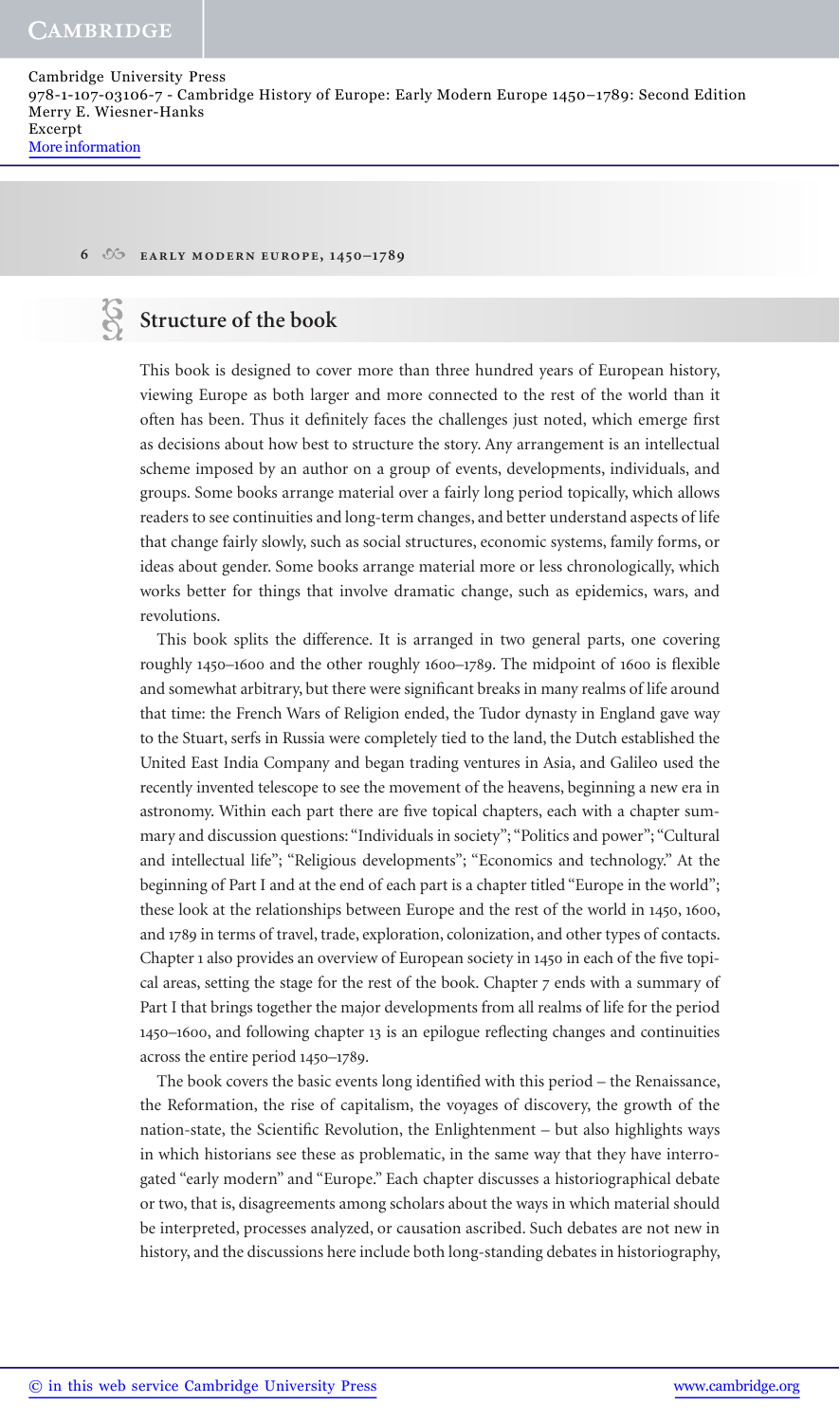$\mathcal{S}$ 

**6 early modern europe, 1450–1789**

## **Structure of the book**

 This book is designed to cover more than three hundred years of European history, viewing Europe as both larger and more connected to the rest of the world than it often has been. Thus it definitely faces the challenges just noted, which emerge first as decisions about how best to structure the story. Any arrangement is an intellectual scheme imposed by an author on a group of events, developments, individuals, and groups. Some books arrange material over a fairly long period topically, which allows readers to see continuities and long-term changes, and better understand aspects of life that change fairly slowly, such as social structures, economic systems, family forms, or ideas about gender. Some books arrange material more or less chronologically, which works better for things that involve dramatic change, such as epidemics, wars, and revolutions.

 This book splits the difference. It is arranged in two general parts, one covering roughly 1450-1600 and the other roughly 1600-1789. The midpoint of 1600 is flexible and somewhat arbitrary, but there were significant breaks in many realms of life around that time: the French Wars of Religion ended, the Tudor dynasty in England gave way to the Stuart, serfs in Russia were completely tied to the land, the Dutch established the United East India Company and began trading ventures in Asia, and Galileo used the recently invented telescope to see the movement of the heavens, beginning a new era in astronomy. Within each part there are five topical chapters, each with a chapter summary and discussion questions: "Individuals in society"; "Politics and power"; "Cultural and intellectual life"; "Religious developments"; "Economics and technology." At the beginning of Part I and at the end of each part is a chapter titled "Europe in the world"; these look at the relationships between Europe and the rest of the world in 1450, 1600, and 1789 in terms of travel, trade, exploration, colonization, and other types of contacts. Chapter 1 also provides an overview of European society in 1450 in each of the five topical areas, setting the stage for the rest of the book. Chapter 7 ends with a summary of Part I that brings together the major developments from all realms of life for the period 1450-1600, and following chapter 13 is an epilogue reflecting changes and continuities across the entire period 1450–1789.

The book covers the basic events long identified with this period – the Renaissance, the Reformation, the rise of capitalism, the voyages of discovery, the growth of the nation-state, the Scientific Revolution, the Enlightenment – but also highlights ways in which historians see these as problematic, in the same way that they have interrogated "early modern" and "Europe." Each chapter discusses a historiographical debate or two, that is, disagreements among scholars about the ways in which material should be interpreted, processes analyzed, or causation ascribed. Such debates are not new in history, and the discussions here include both long-standing debates in historiography,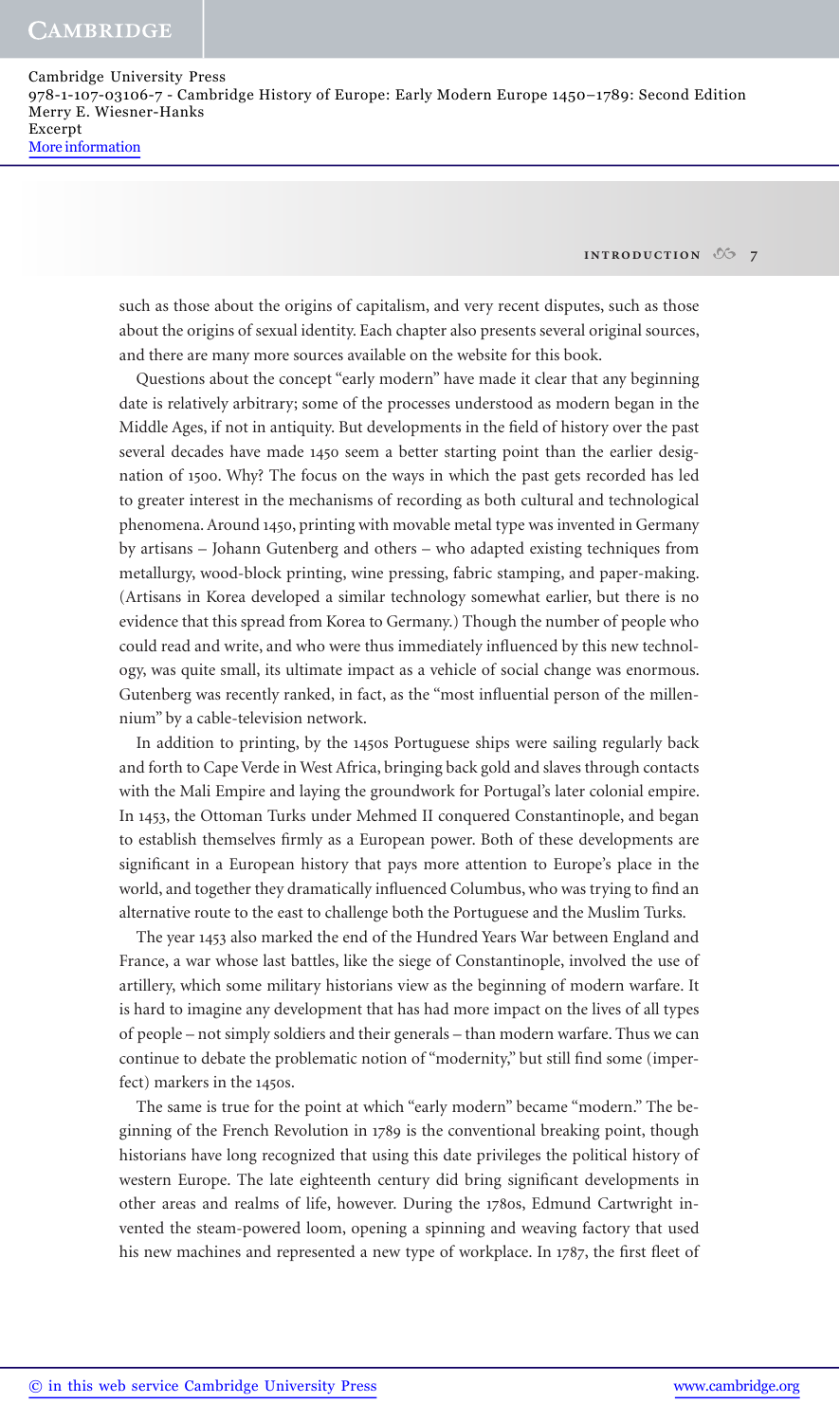**INTRODUCTION 00 7** 

such as those about the origins of capitalism, and very recent disputes, such as those about the origins of sexual identity. Each chapter also presents several original sources, and there are many more sources available on the website for this book.

 Questions about the concept "early modern" have made it clear that any beginning date is relatively arbitrary; some of the processes understood as modern began in the Middle Ages, if not in antiquity. But developments in the field of history over the past several decades have made 1450 seem a better starting point than the earlier designation of 1500. Why? The focus on the ways in which the past gets recorded has led to greater interest in the mechanisms of recording as both cultural and technological phenomena. Around 1450, printing with movable metal type was invented in Germany by artisans – Johann Gutenberg and others – who adapted existing techniques from metallurgy, wood-block printing, wine pressing, fabric stamping, and paper-making. (Artisans in Korea developed a similar technology somewhat earlier, but there is no evidence that this spread from Korea to Germany.) Though the number of people who could read and write, and who were thus immediately influenced by this new technology, was quite small, its ultimate impact as a vehicle of social change was enormous. Gutenberg was recently ranked, in fact, as the "most influential person of the millennium" by a cable-television network.

 In addition to printing, by the 1450s Portuguese ships were sailing regularly back and forth to Cape Verde in West Africa, bringing back gold and slaves through contacts with the Mali Empire and laying the groundwork for Portugal's later colonial empire. In 1453, the Ottoman Turks under Mehmed II conquered Constantinople, and began to establish themselves firmly as a European power. Both of these developments are significant in a European history that pays more attention to Europe's place in the world, and together they dramatically influenced Columbus, who was trying to find an alternative route to the east to challenge both the Portuguese and the Muslim Turks.

 The year 1453 also marked the end of the Hundred Years War between England and France, a war whose last battles, like the siege of Constantinople, involved the use of artillery, which some military historians view as the beginning of modern warfare. It is hard to imagine any development that has had more impact on the lives of all types of people – not simply soldiers and their generals – than modern warfare. Thus we can continue to debate the problematic notion of "modernity," but still find some (imperfect) markers in the 1450s.

 The same is true for the point at which "early modern" became "modern." The beginning of the French Revolution in 1789 is the conventional breaking point, though historians have long recognized that using this date privileges the political history of western Europe. The late eighteenth century did bring significant developments in other areas and realms of life, however. During the 1780s, Edmund Cartwright invented the steam-powered loom, opening a spinning and weaving factory that used his new machines and represented a new type of workplace. In 1787, the first fleet of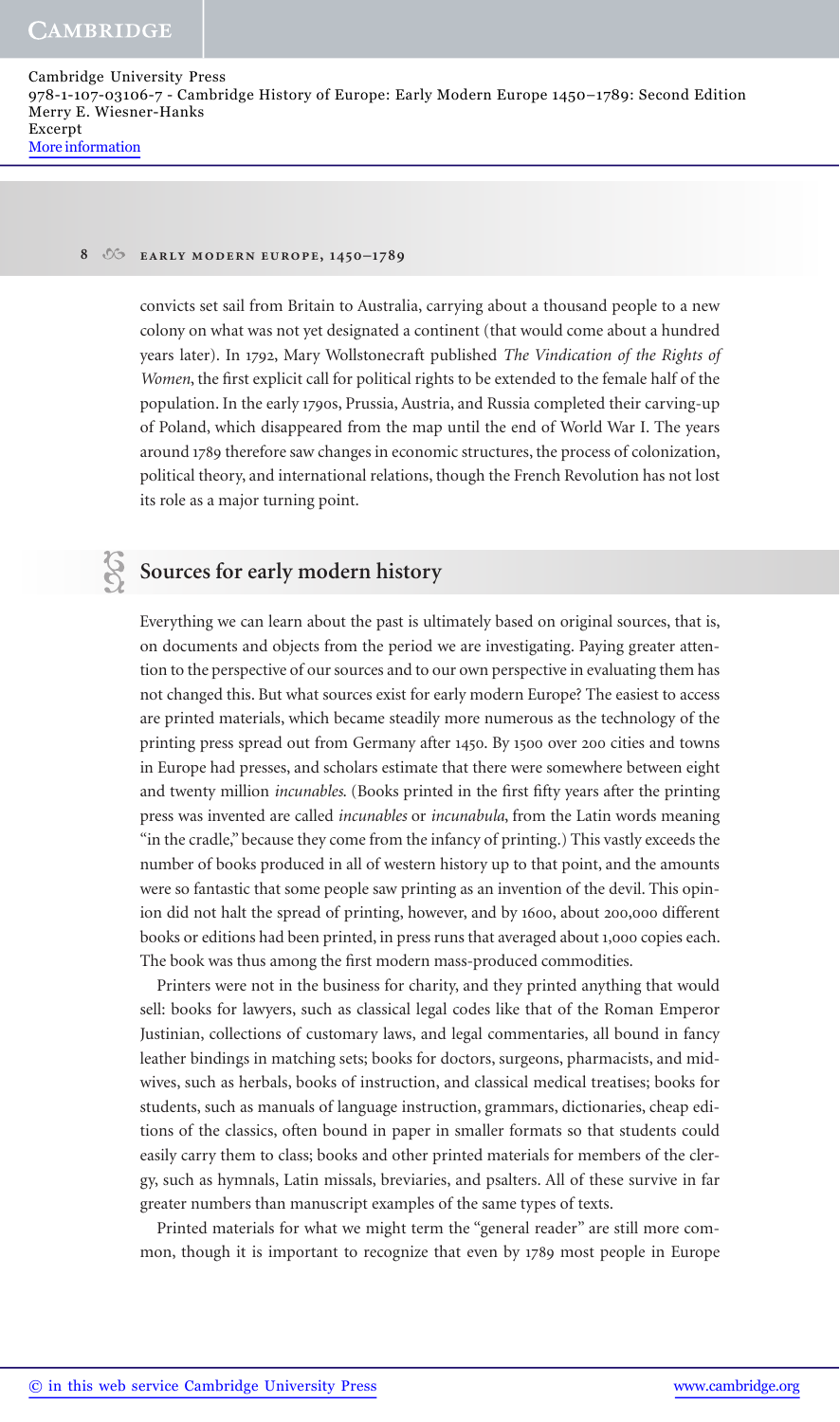## **8 early modern europe, 1450–1789**

convicts set sail from Britain to Australia, carrying about a thousand people to a new colony on what was not yet designated a continent (that would come about a hundred years later). In 1792, Mary Wollstonecraft published *The Vindication of the Rights of Women*, the first explicit call for political rights to be extended to the female half of the population. In the early 1790s, Prussia, Austria, and Russia completed their carving-up of Poland, which disappeared from the map until the end of World War I. The years around 1789 therefore saw changes in economic structures, the process of colonization, political theory, and international relations, though the French Revolution has not lost its role as a major turning point.

## **Sources for early modern history**

 Everything we can learn about the past is ultimately based on original sources, that is, on documents and objects from the period we are investigating. Paying greater attention to the perspective of our sources and to our own perspective in evaluating them has not changed this. But what sources exist for early modern Europe? The easiest to access are printed materials, which became steadily more numerous as the technology of the printing press spread out from Germany after 1450. By 1500 over 200 cities and towns in Europe had presses, and scholars estimate that there were somewhere between eight and twenty million *incunables*. (Books printed in the first fifty years after the printing press was invented are called *incunables* or *incunabula* , from the Latin words meaning "in the cradle," because they come from the infancy of printing.) This vastly exceeds the number of books produced in all of western history up to that point, and the amounts were so fantastic that some people saw printing as an invention of the devil. This opinion did not halt the spread of printing, however, and by 1600, about 200,000 different books or editions had been printed, in press runs that averaged about 1,000 copies each. The book was thus among the first modern mass-produced commodities.

 Printers were not in the business for charity, and they printed anything that would sell: books for lawyers, such as classical legal codes like that of the Roman Emperor Justinian, collections of customary laws, and legal commentaries, all bound in fancy leather bindings in matching sets; books for doctors, surgeons, pharmacists, and midwives, such as herbals, books of instruction, and classical medical treatises; books for students, such as manuals of language instruction, grammars, dictionaries, cheap editions of the classics, often bound in paper in smaller formats so that students could easily carry them to class; books and other printed materials for members of the clergy, such as hymnals, Latin missals, breviaries, and psalters. All of these survive in far greater numbers than manuscript examples of the same types of texts.

 Printed materials for what we might term the "general reader" are still more common, though it is important to recognize that even by 1789 most people in Europe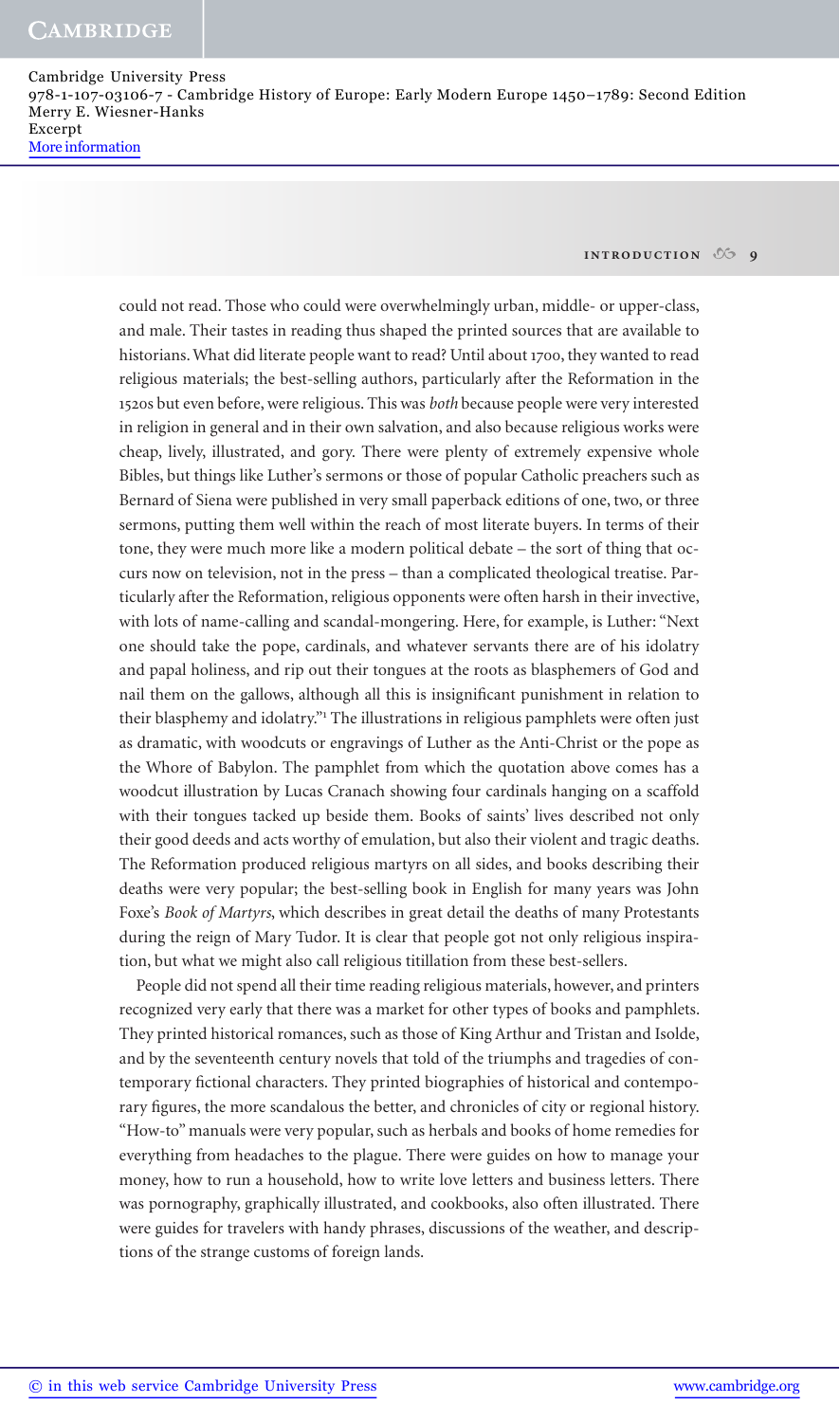### **introduction**  $\oslash$  9

could not read. Those who could were overwhelmingly urban, middle- or upper-class, and male. Their tastes in reading thus shaped the printed sources that are available to historians. What did literate people want to read? Until about 1700, they wanted to read religious materials; the best-selling authors, particularly after the Reformation in the 1520s but even before, were religious. This was *both* because people were very interested in religion in general and in their own salvation, and also because religious works were cheap, lively, illustrated, and gory. There were plenty of extremely expensive whole Bibles, but things like Luther's sermons or those of popular Catholic preachers such as Bernard of Siena were published in very small paperback editions of one, two, or three sermons, putting them well within the reach of most literate buyers. In terms of their tone, they were much more like a modern political debate – the sort of thing that occurs now on television, not in the press – than a complicated theological treatise. Particularly after the Reformation, religious opponents were often harsh in their invective, with lots of name-calling and scandal-mongering. Here, for example, is Luther: "Next one should take the pope, cardinals, and whatever servants there are of his idolatry and papal holiness, and rip out their tongues at the roots as blasphemers of God and nail them on the gallows, although all this is insignificant punishment in relation to their blasphemy and idolatry."<sup>1</sup> The illustrations in religious pamphlets were often just as dramatic, with woodcuts or engravings of Luther as the Anti-Christ or the pope as the Whore of Babylon. The pamphlet from which the quotation above comes has a woodcut illustration by Lucas Cranach showing four cardinals hanging on a scaffold with their tongues tacked up beside them. Books of saints' lives described not only their good deeds and acts worthy of emulation, but also their violent and tragic deaths. The Reformation produced religious martyrs on all sides, and books describing their deaths were very popular; the best-selling book in English for many years was John Foxe's *Book of Martyrs* , which describes in great detail the deaths of many Protestants during the reign of Mary Tudor. It is clear that people got not only religious inspiration, but what we might also call religious titillation from these best-sellers.

 People did not spend all their time reading religious materials, however, and printers recognized very early that there was a market for other types of books and pamphlets. They printed historical romances, such as those of King Arthur and Tristan and Isolde, and by the seventeenth century novels that told of the triumphs and tragedies of contemporary fictional characters. They printed biographies of historical and contemporary figures, the more scandalous the better, and chronicles of city or regional history. "How-to" manuals were very popular, such as herbals and books of home remedies for everything from headaches to the plague. There were guides on how to manage your money, how to run a household, how to write love letters and business letters. There was pornography, graphically illustrated, and cookbooks, also often illustrated. There were guides for travelers with handy phrases, discussions of the weather, and descriptions of the strange customs of foreign lands.